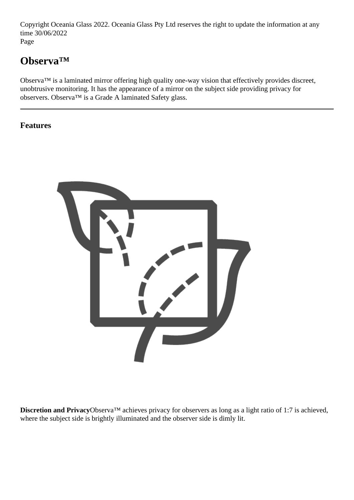Copyright Oceania Glass 2022. Oceania Glass Pty Ltd reserves the right to update the information at any time 30/06/2022 Page

# **Observa™**

Observa™ is a laminated mirror offering high quality one-way vision that effectively provides discreet, unobtrusive monitoring. It has the appearance of a mirror on the subject side providing privacy for observers. Observa™ is a Grade A laminated Safety glass.

**Features**



**Discretion and Privacy**Observa™ achieves privacy for observers as long as a light ratio of 1:7 is achieved, where the subject side is brightly illuminated and the observer side is dimly lit.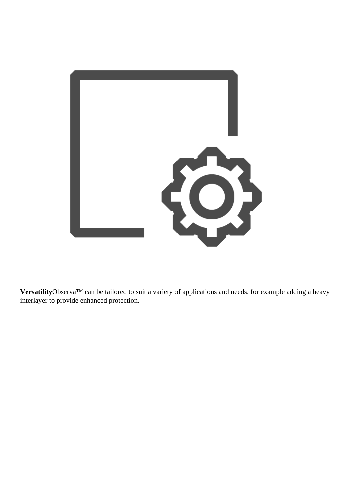

**Versatility**Observa™ can be tailored to suit a variety of applications and needs, for example adding a heavy interlayer to provide enhanced protection.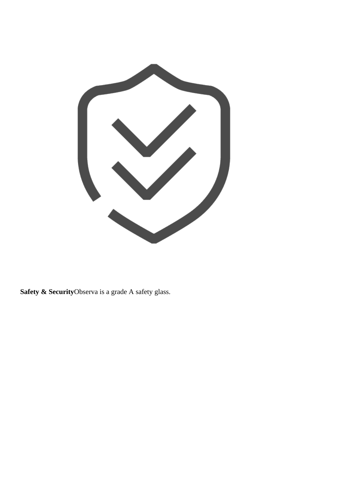

**Safety & Security**Observa is a grade A safety glass.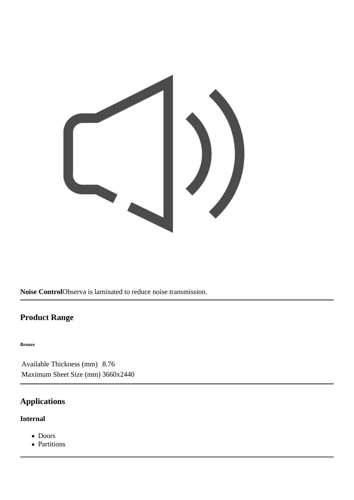

**Noise Control**Observa is laminated to reduce noise transmission.

### **Product Range**

#### **Bronze**

Available Thickness (mm) 8.76 Maximum Sheet Size (mm) 3660x2440

## **Applications**

### **Internal**

- Doors
- Partitions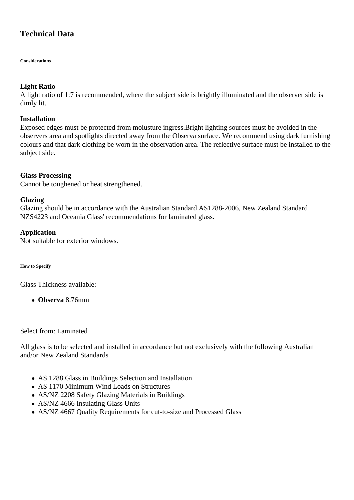### **Technical Data**

**Considerations**

#### **Light Ratio**

A light ratio of 1:7 is recommended, where the subject side is brightly illuminated and the observer side is dimly lit.

#### **Installation**

Exposed edges must be protected from moiusture ingress.Bright lighting sources must be avoided in the observers area and spotlights directed away from the Observa surface. We recommend using dark furnishing colours and that dark clothing be worn in the observation area. The reflective surface must be installed to the subject side.

#### **Glass Processing**

Cannot be toughened or heat strengthened.

#### **Glazing**

Glazing should be in accordance with the Australian Standard AS1288-2006, New Zealand Standard NZS4223 and Oceania Glass' recommendations for laminated glass.

#### **Application**

Not suitable for exterior windows.

**How to Specify**

Glass Thickness available:

**Observa** 8.76mm

Select from: Laminated

All glass is to be selected and installed in accordance but not exclusively with the following Australian and/or New Zealand Standards

- AS 1288 Glass in Buildings Selection and Installation
- AS 1170 Minimum Wind Loads on Structures
- AS/NZ 2208 Safety Glazing Materials in Buildings
- AS/NZ 4666 Insulating Glass Units
- AS/NZ 4667 Quality Requirements for cut-to-size and Processed Glass